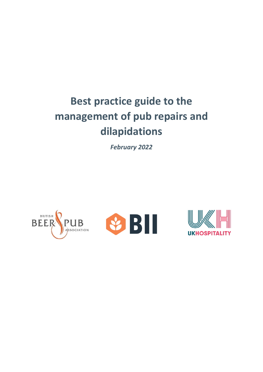# **Best practice guide to the management of pub repairs and dilapidations**

*February 2022*

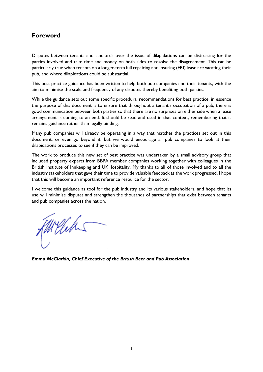# **Foreword**

Disputes between tenants and landlords over the issue of dilapidations can be distressing for the parties involved and take time and money on both sides to resolve the disagreement. This can be particularly true when tenants on a longer-term full repairing and insuring (FRI) lease are vacating their pub, and where dilapidations could be substantial.

This best practice guidance has been written to help both pub companies and their tenants, with the aim to minimise the scale and frequency of any disputes thereby benefiting both parties.

While the guidance sets out some specific procedural recommendations for best practice, in essence the purpose of this document is to ensure that throughout a tenant's occupation of a pub, there is good communication between both parties so that there are no surprises on either side when a lease arrangement is coming to an end. It should be read and used in that context, remembering that it remains guidance rather than legally binding.

Many pub companies will already be operating in a way that matches the practices set out in this document, or even go beyond it, but we would encourage all pub companies to look at their dilapidations processes to see if they can be improved.

The work to produce this new set of best practice was undertaken by a small advisory group that included property experts from BBPA member companies working together with colleagues in the British Institute of Innkeeping and UKHospitality. My thanks to all of those involved and to all the industry stakeholders that gave their time to provide valuable feedback as the work progressed. I hope that this will become an important reference resource for the sector.

I welcome this guidance as tool for the pub industry and its various stakeholders, and hope that its use will minimise disputes and strengthen the thousands of partnerships that exist between tenants and pub companies across the nation.

Milleh

*Emma McClarkin, Chief Executive of the British Beer and Pub Association*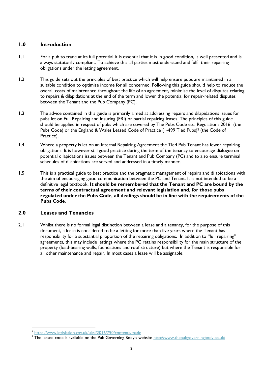## **1.0 Introduction**

- 1.1 For a pub to trade at its full potential it is essential that it is in good condition, is well presented and is always statutorily compliant. To achieve this all parties must understand and fulfil their repairing obligations under the letting agreement.
- 1.2 This guide sets out the principles of best practice which will help ensure pubs are maintained in a suitable condition to optimise income for all concerned. Following this guide should help to reduce the overall costs of maintenance throughout the life of an agreement, minimise the level of disputes relating to repairs & dilapidations at the end of the term and lower the potential for repair-related disputes between the Tenant and the Pub Company (PC).
- 1.3 The advice contained in this guide is primarily aimed at addressing repairs and dilapidations issues for pubs let on Full Repairing and Insuring (FRI) or partial repairing leases. The principles of this guide should be applied in respect of pubs which are covered by The Pubs Code etc. Regulations 2016<sup>1</sup> (the Pubs Code) or the England & Wales Leased Code of Practice (1-499 Tied Pubs)<sup>2</sup> (the Code of Practice).
- 1.4 Where a property is let on an Internal Repairing Agreement the Tied Pub Tenant has fewer repairing obligations. It is however still good practice during the term of the tenancy to encourage dialogue on potential dilapidations issues between the Tenant and Pub Company (PC) and to also ensure terminal schedules of dilapidations are served and addressed in a timely manner.
- 1.5 This is a practical guide to best practice and the pragmatic management of repairs and dilapidations with the aim of encouraging good communication between the PC and Tenant. It is not intended to be a definitive legal textbook. **It should be remembered that the Tenant and PC are bound by the terms of their contractual agreement and relevant legislation and, for those pubs regulated under the Pubs Code, all dealings should be in line with the requirements of the Pubs Code**.

# **2.0 Leases and Tenancies**

2.1 Whilst there is no formal legal distinction between a lease and a tenancy, for the purpose of this document, a lease is considered to be a letting for more than five years where the Tenant has responsibility for a substantial proportion of the repairing obligations. In addition to "full repairing" agreements, this may include lettings where the PC retains responsibility for the main structure of the property (load-bearing walls, foundations and roof structure) but where the Tenant is responsible for all other maintenance and repair. In most cases a lease will be assignable.

<sup>1</sup> <https://www.legislation.gov.uk/uksi/2016/790/contents/made>

<sup>&</sup>lt;sup>2</sup> The leased code is available on the Pub Governing Body's website <http://www.thepubgoverningbody.co.uk/>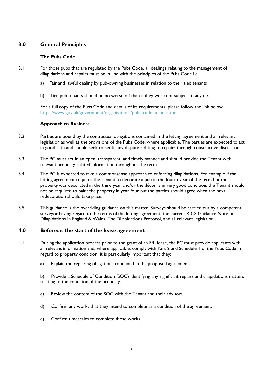# **3.0 General Principles**

## **The Pubs Code**

- 3.1 For those pubs that are regulated by the Pubs Code, all dealings relating to the management of dilapidations and repairs must be in line with the principles of the Pubs Code i.e.
	- a) Fair and lawful dealing by pub-owning businesses in relation to their tied tenants
	- b) Tied pub tenants should be no worse off than if they were not subject to any tie.

For a full copy of the Pubs Code and details of its requirements, please follow the link below <https://www.gov.uk/government/organisations/pubs-code-adjudicator>

## **Approach to Business**

- 3.2 Parties are bound by the contractual obligations contained in the letting agreement and all relevant legislation as well as the provisions of the Pubs Code, where applicable. The parties are expected to act in good faith and should seek to settle any dispute relating to repairs through constructive discussion.
- 3.3 The PC must act in an open, transparent, and timely manner and should provide the Tenant with relevant property related information throughout the term.
- 3.4 The PC is expected to take a commonsense approach to enforcing dilapidations. For example if the letting agreement requires the Tenant to decorate a pub in the fourth year of the term but the property was decorated in the third year and/or the décor is in very good condition, the Tenant should not be required to paint the property in year four but the parties should agree when the next redecoration should take place.
- 3.5 This guidance is the overriding guidance on this matter. Surveys should be carried out by a competent surveyor having regard to the terms of the letting agreement, the current RICS Guidance Note on Dilapidations in England & Wales, The Dilapidations Protocol, and all relevant legislation.

# **4.0 Before/at the start of the lease agreement**

- 4.1 During the application process prior to the grant of an FRI lease, the PC must provide applicants with all relevant information and, where applicable, comply with Part 2 and Schedule 1 of the Pubs Code in regard to property condition, it is particularly important that they:
	- a) Explain the repairing obligations contained in the proposed agreement.

b) Provide a Schedule of Condition (SOC) identifying any significant repairs and dilapidations matters relating to the condition of the property.

- c) Review the content of the SOC with the Tenant and their advisors.
- d) Confirm any works that they intend to complete as a condition of the agreement.
- e) Confirm timescales to complete those works.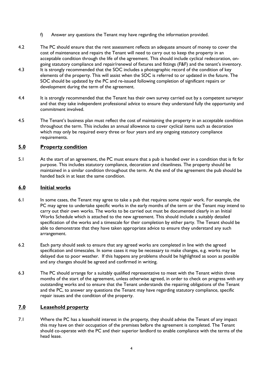- f) Answer any questions the Tenant may have regarding the information provided.
- 4.2 The PC should ensure that the rent assessment reflects an adequate amount of money to cover the cost of maintenance and repairs the Tenant will need to carry out to keep the property in an acceptable condition through the life of the agreement. This should include cyclical redecoration, ongoing statutory compliance and repair/renewal of fixtures and fittings (F&F) and the tenant's inventory.
- 4.3 It is strongly recommended that the SOC includes a photographic record of the condition of key elements of the property. This will assist when the SOC is referred to or updated in the future. The SOC should be updated by the PC and re-issued following completion of significant repairs or development during the term of the agreement.
- 4.4 It is strongly recommended that the Tenant has their own survey carried out by a competent surveyor and that they take independent professional advice to ensure they understand fully the opportunity and commitment involved.
- 4.5 The Tenant's business plan must reflect the cost of maintaining the property in an acceptable condition throughout the term. This includes an annual allowance to cover cyclical items such as decoration which may only be required every three or four years and any ongoing statutory compliance requirements.

## **5.0 Property condition**

5.1 At the start of an agreement, the PC must ensure that a pub is handed over in a condition that is fit for purpose. This includes statutory compliance, decoration and cleanliness. The property should be maintained in a similar condition throughout the term. At the end of the agreement the pub should be handed back in at least the same condition.

#### **6.0 Initial works**

- 6.1 In some cases, the Tenant may agree to take a pub that requires some repair work. For example, the PC may agree to undertake specific works in the early months of the term or the Tenant may intend to carry out their own works. The works to be carried out must be documented clearly in an Initial Works Schedule which is attached to the new agreement. This should include a suitably detailed specification of the works and a timescale for their completion by either party. The Tenant should be able to demonstrate that they have taken appropriate advice to ensure they understand any such arrangement.
- 6.2 Each party should seek to ensure that any agreed works are completed in line with the agreed specification and timescales. In some cases it may be necessary to make changes, e.g. works may be delayed due to poor weather. If this happens any problems should be highlighted as soon as possible and any changes should be agreed and confirmed in writing.
- 6.3 The PC should arrange for a suitably qualified representative to meet with the Tenant within three months of the start of the agreement, unless otherwise agreed, in order to check on progress with any outstanding works and to ensure that the Tenant understands the repairing obligations of the Tenant and the PC, to answer any questions the Tenant may have regarding statutory compliance, specific repair issues and the condition of the property.

# **7.0 Leasehold property**

7.1 Where the PC has a leasehold interest in the property, they should advise the Tenant of any impact this may have on their occupation of the premises before the agreement is completed. The Tenant should co-operate with the PC and their superior landlord to enable compliance with the terms of the head lease.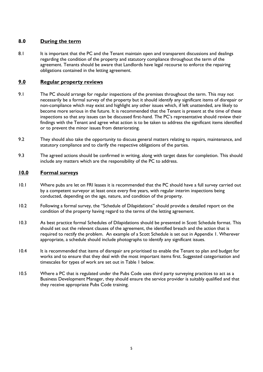## **8.0 During the term**

8.1 It is important that the PC and the Tenant maintain open and transparent discussions and dealings regarding the condition of the property and statutory compliance throughout the term of the agreement. Tenants should be aware that Landlords have legal recourse to enforce the repairing obligations contained in the letting agreement.

## **9.0 Regular property reviews**

- 9.1 The PC should arrange for regular inspections of the premises throughout the term. This may not necessarily be a formal survey of the property but it should identify any significant items of disrepair or non-compliance which may exist and highlight any other issues which, if left unattended, are likely to become more serious in the future. It is recommended that the Tenant is present at the time of these inspections so that any issues can be discussed first-hand. The PC's representative should review their findings with the Tenant and agree what action is to be taken to address the significant items identified or to prevent the minor issues from deteriorating.
- 9.2 They should also take the opportunity to discuss general matters relating to repairs, maintenance, and statutory compliance and to clarify the respective obligations of the parties.
- 9.3 The agreed actions should be confirmed in writing, along with target dates for completion. This should include any matters which are the responsibility of the PC to address.

## **10.0 Formal surveys**

- 10.1 Where pubs are let on FRI leases it is recommended that the PC should have a full survey carried out by a competent surveyor at least once every five years, with regular interim inspections being conducted, depending on the age, nature, and condition of the property.
- 10.2 Following a formal survey, the "Schedule of Dilapidations" should provide a detailed report on the condition of the property having regard to the terms of the letting agreement.
- 10.3 As best practice formal Schedules of Dilapidations should be presented in Scott Schedule format. This should set out the relevant clauses of the agreement, the identified breach and the action that is required to rectify the problem. An example of a Scott Schedule is set out in Appendix 1. Wherever appropriate, a schedule should include photographs to identify any significant issues.
- 10.4 It is recommended that items of disrepair are prioritised to enable the Tenant to plan and budget for works and to ensure that they deal with the most important items first. Suggested categorisation and timescales for types of work are set out in Table 1 below.
- 10.5 Where a PC that is regulated under the Pubs Code uses third party surveying practices to act as a Business Development Manager, they should ensure the service provider is suitably qualified and that they receive appropriate Pubs Code training.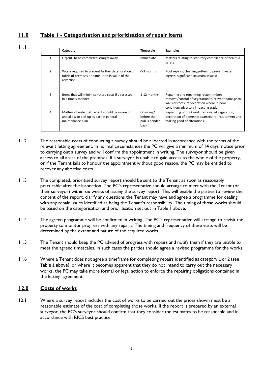# **11.0 Table 1 - Categorisation and prioritisation of repair items**

#### 11.1

|               | Category                                                                                                            | <b>Timescale</b>                                 | <b>Examples</b>                                                                                                                                                                     |
|---------------|---------------------------------------------------------------------------------------------------------------------|--------------------------------------------------|-------------------------------------------------------------------------------------------------------------------------------------------------------------------------------------|
|               | Urgent- to be completed straight away                                                                               | Immediate                                        | Matters relating to statutory compliance or health &<br>safety                                                                                                                      |
| $\mathcal{P}$ | Work- required to prevent further deterioration of<br>fabric of premises or diminution in value of the<br>reversion | 0-3 months                                       | Roof repairs; cleaning gutters to prevent water<br>ingress, significant structural issues;                                                                                          |
| 3             | Items that will minimise future costs if addressed<br>in a timely manner                                            | 1-12 months                                      | Repairing and repainting rotten timber;<br>removal/control of vegetation to prevent damage to<br>walls or roofs; redecoration where in poor<br>condition/adversely impacting trade. |
| 4             | Matters of note that Tenant should be aware of<br>and allow to pick up as part of general<br>maintenance plan       | On-going/<br>before the<br>pub is handed<br>back | Repointing of brickwork; removal of vegetation;<br>decoration of domestic quarters; re-instatement and<br>making good of alterations.                                               |

- 11.2 The reasonable costs of conducting a survey should be allocated in accordance with the terms of the relevant letting agreement. In normal circumstances the PC will give a minimum of 14 days' notice prior to carrying out a survey and will confirm the appointment in writing. The surveyor should be given access to all areas of the premises. If a surveyor is unable to gain access to the whole of the property, or if the Tenant fails to honour the appointment without good reason, the PC may be entitled to recover any abortive costs.
- 11.3 The completed, prioritised survey report should be sent to the Tenant as soon as reasonably practicable after the inspection. The PC's representative should arrange to meet with the Tenant (or their surveyor) within six weeks of issuing the survey report. This will enable the parties to review the content of the report, clarify any questions the Tenant may have and agree a programme for dealing with any repair issues identified as being the Tenant's responsibility. The timing of those works should be based on the categorisation and prioritisation set out in Table 1 above.
- 11.4 The agreed programme will be confirmed in writing. The PC's representative will arrange to revisit the property to monitor progress with any repairs. The timing and frequency of these visits will be determined by the extent and nature of the required works.
- 11.5 The Tenant should keep the PC advised of progress with repairs and notify them if they are unable to meet the agreed timescales. In such cases the parties should agree a revised programme for the works.
- 11.6 Where a Tenant does not agree a timeframe for completing repairs identified as category 1 or 2 (see Table 1 above), or where it becomes apparent that they do not intend to carry out the necessary works, the PC may take more formal or legal action to enforce the repairing obligations contained in the letting agreement.

## **12.0 Costs of works**

12.1 Where a survey report includes the cost of works to be carried out the prices shown must be a reasonable estimate of the cost of completing those works. If the report is prepared by an external surveyor, the PC's surveyor should confirm that they consider the estimates to be reasonable and in accordance with RICS best practice.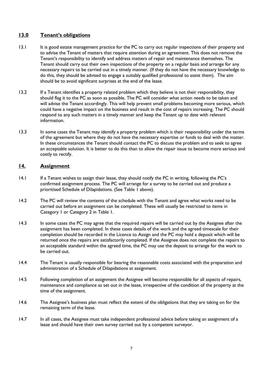# **13.0 Tenant's obligations**

- 13.1 It is good estate management practice for the PC to carry out regular inspections of their property and to advise the Tenant of matters that require attention during an agreement. This does not remove the Tenant's responsibility to identify and address matters of repair and maintenance themselves. The Tenant should carry out their own inspections of the property on a regular basis and arrange for any necessary repairs to be carried out in a timely manner. (If they do not have the necessary knowledge to do this, they should be advised to engage a suitably qualified professional to assist them). The aim should be to avoid significant surprises at the end of the lease.
- 13.2 If a Tenant identifies a property related problem which they believe is not their responsibility, they should flag it to the PC as soon as possible. The PC will consider what action needs to be taken and will advise the Tenant accordingly. This will help prevent small problems becoming more serious, which could have a negative impact on the business and result in the cost of repairs increasing. The PC should respond to any such matters in a timely manner and keep the Tenant up to date with relevant information.
- 13.3 In some cases the Tenant may identify a property problem which is their responsibility under the terms of the agreement but where they do not have the necessary expertise or funds to deal with the matter. In these circumstances the Tenant should contact the PC to discuss the problem and to seek to agree an acceptable solution. It is better to do this than to allow the repair issue to become more serious and costly to rectify.

# **14. Assignment**

- 14.1 If a Tenant wishes to assign their lease, they should notify the PC in writing, following the PC's confirmed assignment process. The PC will arrange for a survey to be carried out and produce a prioritised Schedule of Dilapidations. (See Table 1 above).
- 14.2 The PC will review the contents of the schedule with the Tenant and agree what works need to be carried out before an assignment can be completed. These will usually be restricted to items in Category 1 or Category 2 in Table 1.
- 14.3 In some cases the PC may agree that the required repairs will be carried out by the Assignee after the assignment has been completed. In these cases details of the work and the agreed timescale for their completion should be recorded in the Licence to Assign and the PC may hold a deposit which will be returned once the repairs are satisfactorily completed. If the Assignee does not complete the repairs to an acceptable standard within the agreed time, the PC may use the deposit to arrange for the work to be carried out.
- 14.4 The Tenant is usually responsible for bearing the reasonable costs associated with the preparation and administration of a Schedule of Dilapidations at assignment.
- 14.5 Following completion of an assignment the Assignee will become responsible for all aspects of repairs, maintenance and compliance as set out in the lease, irrespective of the condition of the property at the time of the assignment.
- 14.6 The Assignee's business plan must reflect the extent of the obligations that they are taking on for the remaining term of the lease.
- 14.7 In all cases, the Assignee must take independent professional advice before taking an assignment of a lease and should have their own survey carried out by a competent surveyor.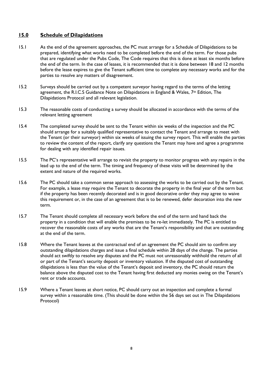# **15.0 Schedule of Dilapidations**

- 15.1 As the end of the agreement approaches, the PC must arrange for a Schedule of Dilapidations to be prepared, identifying what works need to be completed before the end of the term. For those pubs that are regulated under the Pubs Code, The Code requires that this is done at least six months before the end of the term. In the case of leases, it is recommended that it is done between 18 and 12 months before the lease expires to give the Tenant sufficient time to complete any necessary works and for the parties to resolve any matters of disagreement.
- 15.2 Surveys should be carried out by a competent surveyor having regard to the terms of the letting agreement, the R.I.C.S Guidance Note on Dilapidations in England & Wales, 7<sup>th</sup> Edition, The Dilapidations Protocol and all relevant legislation.
- 15.3 The reasonable costs of conducting a survey should be allocated in accordance with the terms of the relevant letting agreement
- 15.4 The completed survey should be sent to the Tenant within six weeks of the inspection and the PC should arrange for a suitably qualified representative to contact the Tenant and arrange to meet with the Tenant (or their surveyor) within six weeks of issuing the survey report. This will enable the parties to review the content of the report, clarify any questions the Tenant may have and agree a programme for dealing with any identified repair issues.
- 15.5 The PC's representative will arrange to revisit the property to monitor progress with any repairs in the lead up to the end of the term. The timing and frequency of these visits will be determined by the extent and nature of the required works.
- 15.6 The PC should take a common sense approach to assessing the works to be carried out by the Tenant. For example, a lease may require the Tenant to decorate the property in the final year of the term but if the property has been recently decorated and is in good decorative order they may agree to waive this requirement or, in the case of an agreement that is to be renewed, defer decoration into the new term.
- 15.7 The Tenant should complete all necessary work before the end of the term and hand back the property in a condition that will enable the premises to be re-let immediately. The PC is entitled to recover the reasonable costs of any works that are the Tenant's responsibility and that are outstanding at the end of the term.
- 15.8 Where the Tenant leaves at the contractual end of an agreement the PC should aim to confirm any outstanding dilapidations charges and issue a final schedule within 28 days of the change. The parties should act swiftly to resolve any disputes and the PC must not unreasonably withhold the return of all or part of the Tenant's security deposit or inventory valuation. If the disputed cost of outstanding dilapidations is less than the value of the Tenant's deposit and inventory, the PC should return the balance above the disputed cost to the Tenant having first deducted any monies owing on the Tenant's rent or trade accounts.
- 15.9 Where a Tenant leaves at short notice, PC should carry out an inspection and complete a formal survey within a reasonable time. (This should be done within the 56 days set out in The Dilapidations Protocol)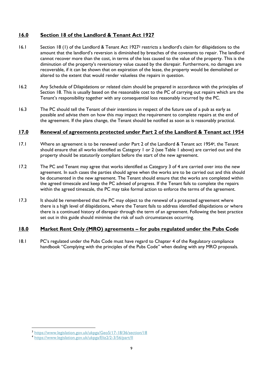# **16.0 Section 18 of the Landlord & Tenant Act 1927**

- 16.1 Section 18 (1) of the Landlord & Tenant Act 1927<sup>3</sup> restricts a landlord's claim for dilapidations to the amount that the landlord's reversion is diminished by breaches of the covenants to repair. The landlord cannot recover more than the cost, in terms of the loss caused to the value of the property. This is the diminution of the property's reversionary value caused by the disrepair. Furthermore, no damages are recoverable, if it can be shown that on expiration of the lease, the property would be demolished or altered to the extent that would render valueless the repairs in question.
- 16.2 Any Schedule of Dilapidations or related claim should be prepared in accordance with the principles of Section 18. This is usually based on the reasonable cost to the PC of carrying out repairs which are the Tenant's responsibility together with any consequential loss reasonably incurred by the PC.
- 16.3 The PC should tell the Tenant of their intentions in respect of the future use of a pub as early as possible and advise them on how this may impact the requirement to complete repairs at the end of the agreement. If the plans change, the Tenant should be notified as soon as is reasonably practical.

## **17.0 Renewal of agreements protected under Part 2 of the Landlord & Tenant act 1954**

- 17.1 Where an agreement is to be renewed under Part 2 of the Landlord & Tenant act 1954<sup>4</sup>, the Tenant should ensure that all works identified as Category 1 or 2 (see Table 1 above) are carried out and the property should be statutorily compliant before the start of the new agreement.
- 17.2 The PC and Tenant may agree that works identified as Category 3 of 4 are carried over into the new agreement. In such cases the parties should agree when the works are to be carried out and this should be documented in the new agreement. The Tenant should ensure that the works are completed within the agreed timescale and keep the PC advised of progress. If the Tenant fails to complete the repairs within the agreed timescale, the PC may take formal action to enforce the terms of the agreement.
- 17.3 It should be remembered that the PC may object to the renewal of a protected agreement where there is a high level of dilapidations, where the Tenant fails to address identified dilapidations or where there is a continued history of disrepair through the term of an agreement. Following the best practice set out in this guide should minimise the risk of such circumstances occurring.

## **18.0 Market Rent Only (MRO) agreements – for pubs regulated under the Pubs Code**

18.1 PC's regulated under the Pubs Code must have regard to Chapter 4 of the Regulatory compliance handbook "Complying with the principles of the Pubs Code" when dealing with any MRO proposals.

<sup>&</sup>lt;sup>3</sup> <https://www.legislation.gov.uk/ukpga/Geo5/17-18/36/section/18>

<sup>4</sup> <https://www.legislation.gov.uk/ukpga/Eliz2/2-3/56/part/II>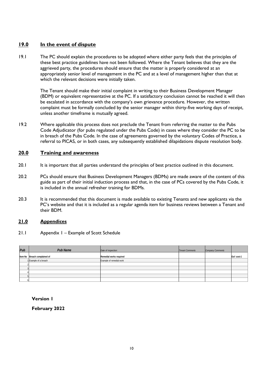# **19.0 In the event of dispute**

19.1 The PC should explain the procedures to be adopted where either party feels that the principles of these best practice guidelines have not been followed. Where the Tenant believes that they are the aggrieved party, the procedures should ensure that the matter is properly considered at an appropriately senior level of management in the PC and at a level of management higher than that at which the relevant decisions were initially taken.

The Tenant should make their initial complaint in writing to their Business Development Manager (BDM) or equivalent representative at the PC. If a satisfactory conclusion cannot be reached it will then be escalated in accordance with the company's own grievance procedure. However, the written complaint must be formally concluded by the senior manager within thirty-five working days of receipt, unless another timeframe is mutually agreed.

19.2 Where applicable this process does not preclude the Tenant from referring the matter to the Pubs Code Adjudicator (for pubs regulated under the Pubs Code) in cases where they consider the PC to be in breach of the Pubs Code. In the case of agreements governed by the voluntary Codes of Practice, a referral to PICAS, or in both cases, any subsequently established dilapidations dispute resolution body.

## **20.0 Training and awareness**

- 20.1 It is important that all parties understand the principles of best practice outlined in this document.
- 20.2 PCs should ensure that Business Development Managers (BDMs) are made aware of the content of this guide as part of their initial induction process and that, in the case of PCs covered by the Pubs Code, it is included in the annual refresher training for BDMs.
- 20.3 It is recommended that this document is made available to existing Tenants and new applicants via the PC's website and that it is included as a regular agenda item for business reviews between a Tenant and their BDM.

## **21.0 Appendices**

21.1 Appendix 1 – Example of Scott Schedule

| Pub | <b>Pub Name</b>              | Date of inspection:      | Tenant Comments | Company Comments |             |
|-----|------------------------------|--------------------------|-----------------|------------------|-------------|
|     | Item No Breach complained of | Remedial works required  |                 |                  | Est' cost £ |
|     | 1 Example of a breach        | Example of remedial work |                 |                  |             |
|     |                              |                          |                 |                  |             |
|     |                              |                          |                 |                  |             |
|     |                              |                          |                 |                  |             |
|     |                              |                          |                 |                  |             |
|     |                              |                          |                 |                  |             |

**Version 1**

**February 2022**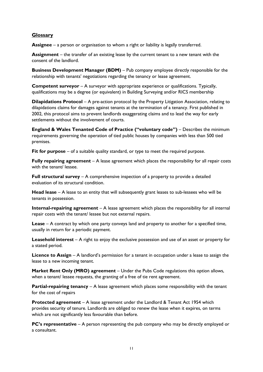# **Glossary**

**Assignee** – a person or organisation to whom a right or liability is legally transferred.

**Assignment** – the transfer of an existing lease by the current tenant to a new tenant with the consent of the landlord.

**Business Development Manager (BDM)** – Pub company employee directly responsible for the relationship with tenants' negotiations regarding the tenancy or lease agreement.

**Competent surveyor** – A surveyor with appropriate experience or qualifications. Typically, qualifications may be a degree (or equivalent) in Building Surveying and/or RICS membership

**Dilapidations Protocol** – A pre-action protocol by the Property Litigation Association, relating to dilapidations claims for damages against tenants at the termination of a tenancy. First published in 2002, this protocol aims to prevent landlords exaggerating claims and to lead the way for early settlements without the involvement of courts.

**England & Wales Tenanted Code of Practice ("voluntary code")** – Describes the minimum requirements governing the operation of tied public houses by companies with less than 500 tied premises.

**Fit for purpose** – of a suitable quality standard, or type to meet the required purpose.

**Fully repairing agreement** – A lease agreement which places the responsibility for all repair costs with the tenant/ lessee.

**Full structural survey** – A comprehensive inspection of a property to provide a detailed evaluation of its structural condition.

**Head lease** – A lease to an entity that will subsequently grant leases to sub-lessees who will be tenants in possession.

**Internal-repairing agreement** – A lease agreement which places the responsibility for all internal repair costs with the tenant/ lessee but not external repairs.

**Lease** – A contract by which one party conveys land and property to another for a specified time, usually in return for a periodic payment.

**Leasehold interest** – A right to enjoy the exclusive possession and use of an asset or property for a stated period.

**Licence to Assign** – A landlord's permission for a tenant in occupation under a lease to assign the lease to a new incoming tenant.

**Market Rent Only (MRO) agreement** – Under the Pubs Code regulations this option allows, when a tenant/ lessee requests, the granting of a free of tie rent agreement.

**Partial-repairing tenancy** – A lease agreement which places some responsibility with the tenant for the cost of repairs

**Protected agreement** – A lease agreement under the Landlord & Tenant Act 1954 which provides security of tenure. Landlords are obliged to renew the lease when it expires, on terms which are not significantly less favourable than before.

**PC's representative** – A person representing the pub company who may be directly employed or a consultant.